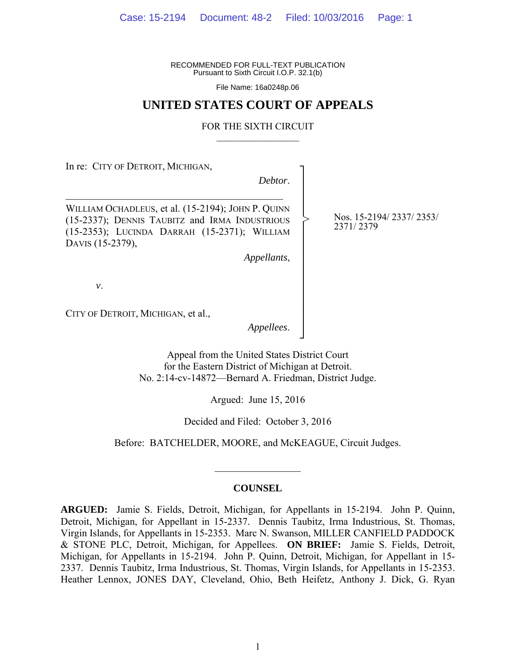RECOMMENDED FOR FULL-TEXT PUBLICATION Pursuant to Sixth Circuit I.O.P. 32.1(b)

File Name: 16a0248p.06

# **UNITED STATES COURT OF APPEALS**

#### FOR THE SIXTH CIRCUIT  $\mathcal{L}_\text{max}$

In re: CITY OF DETROIT, MICHIGAN,

*Debtor*.

┐ │ │ │ │ │ │ │ │ │ │ │ │ │ │ ┘

>

WILLIAM OCHADLEUS, et al. (15-2194); JOHN P. QUINN (15-2337); DENNIS TAUBITZ and IRMA INDUSTRIOUS (15-2353); LUCINDA DARRAH (15-2371); WILLIAM DAVIS (15-2379),

 $\mathcal{L}_\mathcal{L} = \{ \mathcal{L}_\mathcal{L} = \{ \mathcal{L}_\mathcal{L} \}$ 

*Appellants*,

Nos. 15-2194/ 2337/ 2353/ 2371/ 2379

*v*.

CITY OF DETROIT, MICHIGAN, et al.,

*Appellees*.

Appeal from the United States District Court for the Eastern District of Michigan at Detroit. No. 2:14-cv-14872—Bernard A. Friedman, District Judge.

Argued: June 15, 2016

Decided and Filed: October 3, 2016

Before: BATCHELDER, MOORE, and McKEAGUE, Circuit Judges.

#### **COUNSEL**

 $\frac{1}{2}$ 

**ARGUED:** Jamie S. Fields, Detroit, Michigan, for Appellants in 15-2194. John P. Quinn, Detroit, Michigan, for Appellant in 15-2337. Dennis Taubitz, Irma Industrious, St. Thomas, Virgin Islands, for Appellants in 15-2353. Marc N. Swanson, MILLER CANFIELD PADDOCK & STONE PLC, Detroit, Michigan, for Appellees. **ON BRIEF:** Jamie S. Fields, Detroit, Michigan, for Appellants in 15-2194. John P. Quinn, Detroit, Michigan, for Appellant in 15- 2337. Dennis Taubitz, Irma Industrious, St. Thomas, Virgin Islands, for Appellants in 15-2353. Heather Lennox, JONES DAY, Cleveland, Ohio, Beth Heifetz, Anthony J. Dick, G. Ryan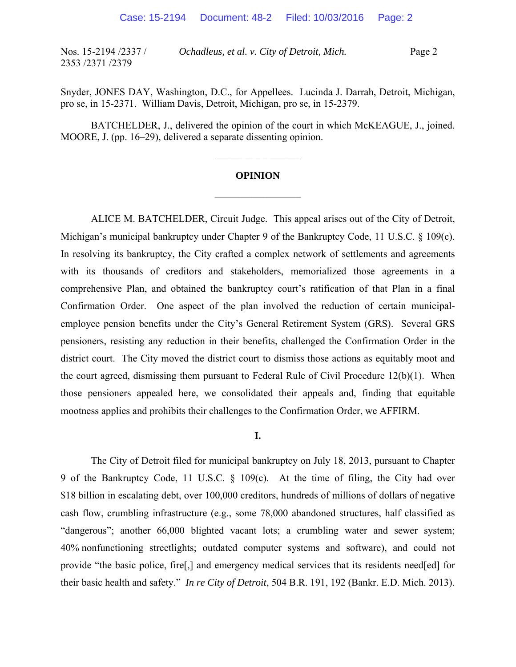Nos. 15-2194 /2337 / 2353 /2371 /2379

*Ochadleus, et al. v. City of Detroit, Mich.* Page 2

Snyder, JONES DAY, Washington, D.C., for Appellees. Lucinda J. Darrah, Detroit, Michigan, pro se, in 15-2371. William Davis, Detroit, Michigan, pro se, in 15-2379.

 BATCHELDER, J., delivered the opinion of the court in which McKEAGUE, J., joined. MOORE, J. (pp. 16–29), delivered a separate dissenting opinion.

# **OPINION**   $\frac{1}{2}$

 $\frac{1}{2}$ 

ALICE M. BATCHELDER, Circuit Judge. This appeal arises out of the City of Detroit, Michigan's municipal bankruptcy under Chapter 9 of the Bankruptcy Code, 11 U.S.C. § 109(c). In resolving its bankruptcy, the City crafted a complex network of settlements and agreements with its thousands of creditors and stakeholders, memorialized those agreements in a comprehensive Plan, and obtained the bankruptcy court's ratification of that Plan in a final Confirmation Order. One aspect of the plan involved the reduction of certain municipalemployee pension benefits under the City's General Retirement System (GRS). Several GRS pensioners, resisting any reduction in their benefits, challenged the Confirmation Order in the district court. The City moved the district court to dismiss those actions as equitably moot and the court agreed, dismissing them pursuant to Federal Rule of Civil Procedure 12(b)(1). When those pensioners appealed here, we consolidated their appeals and, finding that equitable mootness applies and prohibits their challenges to the Confirmation Order, we AFFIRM.

#### **I.**

 The City of Detroit filed for municipal bankruptcy on July 18, 2013, pursuant to Chapter 9 of the Bankruptcy Code, 11 U.S.C. § 109(c). At the time of filing, the City had over \$18 billion in escalating debt, over 100,000 creditors, hundreds of millions of dollars of negative cash flow, crumbling infrastructure (e.g., some 78,000 abandoned structures, half classified as "dangerous"; another 66,000 blighted vacant lots; a crumbling water and sewer system; 40% nonfunctioning streetlights; outdated computer systems and software), and could not provide "the basic police, fire[,] and emergency medical services that its residents need[ed] for their basic health and safety." *In re City of Detroit*, 504 B.R. 191, 192 (Bankr. E.D. Mich. 2013).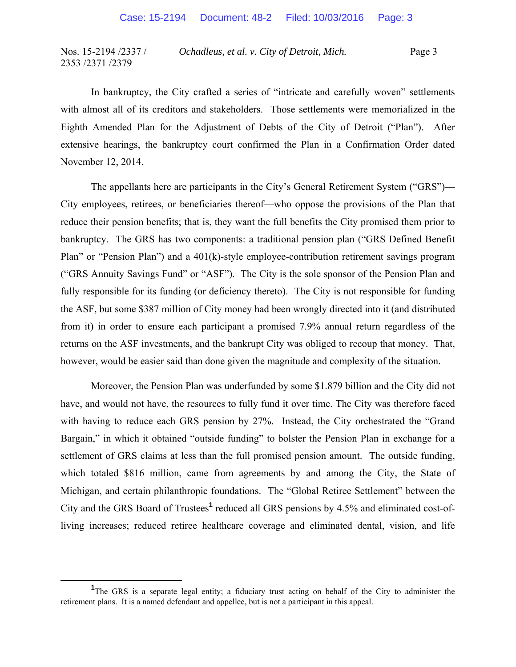In bankruptcy, the City crafted a series of "intricate and carefully woven" settlements with almost all of its creditors and stakeholders. Those settlements were memorialized in the Eighth Amended Plan for the Adjustment of Debts of the City of Detroit ("Plan"). After extensive hearings, the bankruptcy court confirmed the Plan in a Confirmation Order dated November 12, 2014.

 The appellants here are participants in the City's General Retirement System ("GRS")— City employees, retirees, or beneficiaries thereof—who oppose the provisions of the Plan that reduce their pension benefits; that is, they want the full benefits the City promised them prior to bankruptcy. The GRS has two components: a traditional pension plan ("GRS Defined Benefit Plan" or "Pension Plan") and a 401(k)-style employee-contribution retirement savings program ("GRS Annuity Savings Fund" or "ASF"). The City is the sole sponsor of the Pension Plan and fully responsible for its funding (or deficiency thereto). The City is not responsible for funding the ASF, but some \$387 million of City money had been wrongly directed into it (and distributed from it) in order to ensure each participant a promised 7.9% annual return regardless of the returns on the ASF investments, and the bankrupt City was obliged to recoup that money. That, however, would be easier said than done given the magnitude and complexity of the situation.

 Moreover, the Pension Plan was underfunded by some \$1.879 billion and the City did not have, and would not have, the resources to fully fund it over time. The City was therefore faced with having to reduce each GRS pension by 27%. Instead, the City orchestrated the "Grand Bargain," in which it obtained "outside funding" to bolster the Pension Plan in exchange for a settlement of GRS claims at less than the full promised pension amount. The outside funding, which totaled \$816 million, came from agreements by and among the City, the State of Michigan, and certain philanthropic foundations. The "Global Retiree Settlement" between the City and the GRS Board of Trustees<sup>1</sup> reduced all GRS pensions by 4.5% and eliminated cost-ofliving increases; reduced retiree healthcare coverage and eliminated dental, vision, and life

<sup>&</sup>lt;u>1</u> <sup>1</sup>The GRS is a separate legal entity; a fiduciary trust acting on behalf of the City to administer the retirement plans. It is a named defendant and appellee, but is not a participant in this appeal.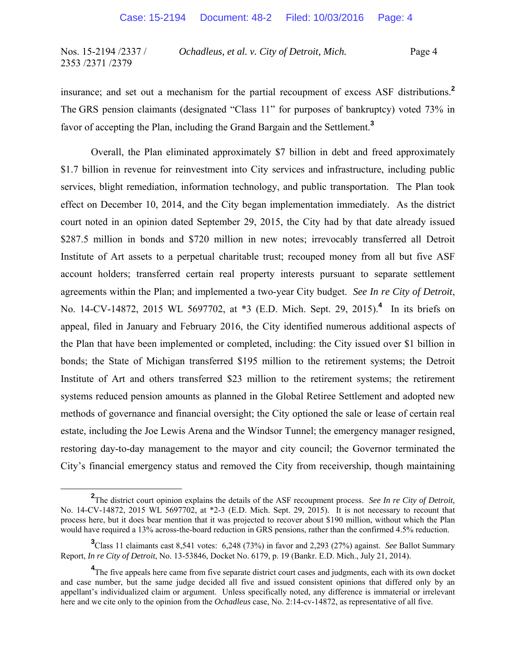insurance; and set out a mechanism for the partial recoupment of excess ASF distributions.**<sup>2</sup>** The GRS pension claimants (designated "Class 11" for purposes of bankruptcy) voted 73% in favor of accepting the Plan, including the Grand Bargain and the Settlement.**<sup>3</sup>**

 Overall, the Plan eliminated approximately \$7 billion in debt and freed approximately \$1.7 billion in revenue for reinvestment into City services and infrastructure, including public services, blight remediation, information technology, and public transportation. The Plan took effect on December 10, 2014, and the City began implementation immediately. As the district court noted in an opinion dated September 29, 2015, the City had by that date already issued \$287.5 million in bonds and \$720 million in new notes; irrevocably transferred all Detroit Institute of Art assets to a perpetual charitable trust; recouped money from all but five ASF account holders; transferred certain real property interests pursuant to separate settlement agreements within the Plan; and implemented a two-year City budget. *See In re City of Detroit*, No. 14-CV-14872, 2015 WL 5697702, at \*3 (E.D. Mich. Sept. 29, 2015).<sup>4</sup> In its briefs on appeal, filed in January and February 2016, the City identified numerous additional aspects of the Plan that have been implemented or completed, including: the City issued over \$1 billion in bonds; the State of Michigan transferred \$195 million to the retirement systems; the Detroit Institute of Art and others transferred \$23 million to the retirement systems; the retirement systems reduced pension amounts as planned in the Global Retiree Settlement and adopted new methods of governance and financial oversight; the City optioned the sale or lease of certain real estate, including the Joe Lewis Arena and the Windsor Tunnel; the emergency manager resigned, restoring day-to-day management to the mayor and city council; the Governor terminated the City's financial emergency status and removed the City from receivership, though maintaining

**<sup>2</sup>** <sup>2</sup>The district court opinion explains the details of the ASF recoupment process. *See In re City of Detroit*, No. 14-CV-14872, 2015 WL 5697702, at \*2-3 (E.D. Mich. Sept. 29, 2015). It is not necessary to recount that process here, but it does bear mention that it was projected to recover about \$190 million, without which the Plan would have required a 13% across-the-board reduction in GRS pensions, rather than the confirmed 4.5% reduction.

**<sup>3</sup>** Class 11 claimants cast 8,541 votes: 6,248 (73%) in favor and 2,293 (27%) against. *See* Ballot Summary Report, *In re City of Detroit*, No. 13-53846, Docket No. 6179, p. 19 (Bankr. E.D. Mich., July 21, 2014).

<sup>&</sup>lt;sup>4</sup>The five appeals here came from five separate district court cases and judgments, each with its own docket and case number, but the same judge decided all five and issued consistent opinions that differed only by an appellant's individualized claim or argument. Unless specifically noted, any difference is immaterial or irrelevant here and we cite only to the opinion from the *Ochadleus* case, No. 2:14-cv-14872, as representative of all five.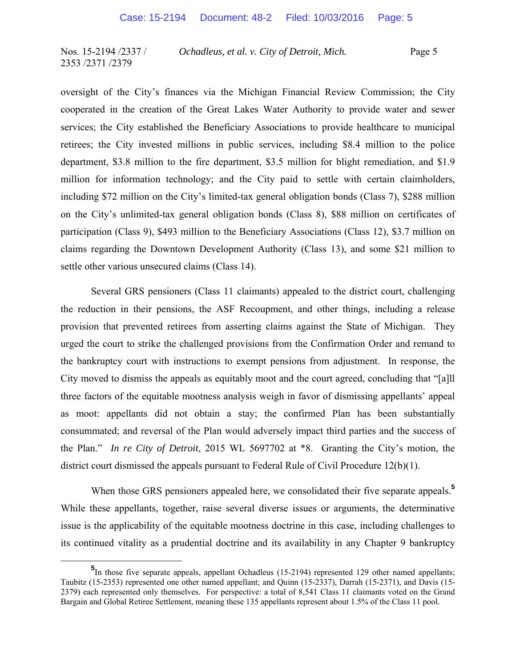oversight of the City's finances via the Michigan Financial Review Commission; the City cooperated in the creation of the Great Lakes Water Authority to provide water and sewer services; the City established the Beneficiary Associations to provide healthcare to municipal retirees; the City invested millions in public services, including \$8.4 million to the police department, \$3.8 million to the fire department, \$3.5 million for blight remediation, and \$1.9 million for information technology; and the City paid to settle with certain claimholders, including \$72 million on the City's limited-tax general obligation bonds (Class 7), \$288 million on the City's unlimited-tax general obligation bonds (Class 8), \$88 million on certificates of participation (Class 9), \$493 million to the Beneficiary Associations (Class 12), \$3.7 million on claims regarding the Downtown Development Authority (Class 13), and some \$21 million to settle other various unsecured claims (Class 14).

 Several GRS pensioners (Class 11 claimants) appealed to the district court, challenging the reduction in their pensions, the ASF Recoupment, and other things, including a release provision that prevented retirees from asserting claims against the State of Michigan. They urged the court to strike the challenged provisions from the Confirmation Order and remand to the bankruptcy court with instructions to exempt pensions from adjustment. In response, the City moved to dismiss the appeals as equitably moot and the court agreed, concluding that "[a]ll three factors of the equitable mootness analysis weigh in favor of dismissing appellants' appeal as moot: appellants did not obtain a stay; the confirmed Plan has been substantially consummated; and reversal of the Plan would adversely impact third parties and the success of the Plan." *In re City of Detroit*, 2015 WL 5697702 at \*8. Granting the City's motion, the district court dismissed the appeals pursuant to Federal Rule of Civil Procedure 12(b)(1).

When those GRS pensioners appealed here, we consolidated their five separate appeals.<sup>5</sup> While these appellants, together, raise several diverse issues or arguments, the determinative issue is the applicability of the equitable mootness doctrine in this case, including challenges to its continued vitality as a prudential doctrine and its availability in any Chapter 9 bankruptcy

**<sup>5</sup>** <sup>5</sup>In those five separate appeals, appellant Ochadleus (15-2194) represented 129 other named appellants; Taubitz (15-2353) represented one other named appellant; and Quinn (15-2337), Darrah (15-2371), and Davis (15- 2379) each represented only themselves. For perspective: a total of 8,541 Class 11 claimants voted on the Grand Bargain and Global Retiree Settlement, meaning these 135 appellants represent about 1.5% of the Class 11 pool.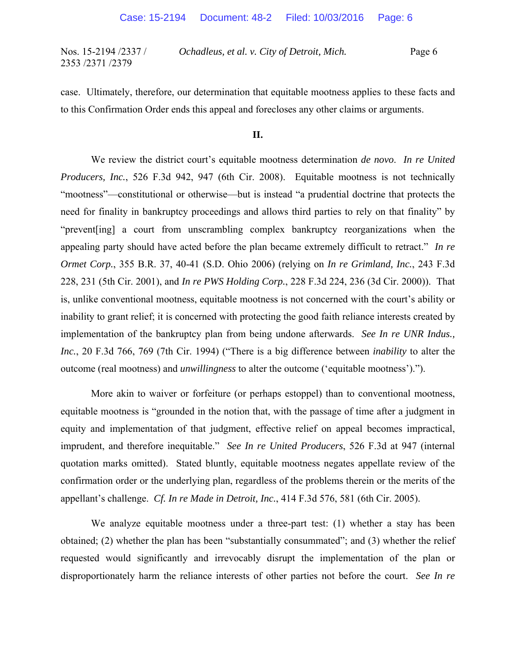case. Ultimately, therefore, our determination that equitable mootness applies to these facts and to this Confirmation Order ends this appeal and forecloses any other claims or arguments.

#### **II.**

 We review the district court's equitable mootness determination *de novo*. *In re United Producers, Inc.*, 526 F.3d 942, 947 (6th Cir. 2008). Equitable mootness is not technically "mootness"—constitutional or otherwise—but is instead "a prudential doctrine that protects the need for finality in bankruptcy proceedings and allows third parties to rely on that finality" by "prevent[ing] a court from unscrambling complex bankruptcy reorganizations when the appealing party should have acted before the plan became extremely difficult to retract." *In re Ormet Corp.*, 355 B.R. 37, 40-41 (S.D. Ohio 2006) (relying on *In re Grimland, Inc.*, 243 F.3d 228, 231 (5th Cir. 2001), and *In re PWS Holding Corp.*, 228 F.3d 224, 236 (3d Cir. 2000)). That is, unlike conventional mootness, equitable mootness is not concerned with the court's ability or inability to grant relief; it is concerned with protecting the good faith reliance interests created by implementation of the bankruptcy plan from being undone afterwards. *See In re UNR Indus., Inc.*, 20 F.3d 766, 769 (7th Cir. 1994) ("There is a big difference between *inability* to alter the outcome (real mootness) and *unwillingness* to alter the outcome ('equitable mootness').").

 More akin to waiver or forfeiture (or perhaps estoppel) than to conventional mootness, equitable mootness is "grounded in the notion that, with the passage of time after a judgment in equity and implementation of that judgment, effective relief on appeal becomes impractical, imprudent, and therefore inequitable." *See In re United Producers*, 526 F.3d at 947 (internal quotation marks omitted). Stated bluntly, equitable mootness negates appellate review of the confirmation order or the underlying plan, regardless of the problems therein or the merits of the appellant's challenge. *Cf. In re Made in Detroit, Inc.*, 414 F.3d 576, 581 (6th Cir. 2005).

We analyze equitable mootness under a three-part test: (1) whether a stay has been obtained; (2) whether the plan has been "substantially consummated"; and (3) whether the relief requested would significantly and irrevocably disrupt the implementation of the plan or disproportionately harm the reliance interests of other parties not before the court. *See In re*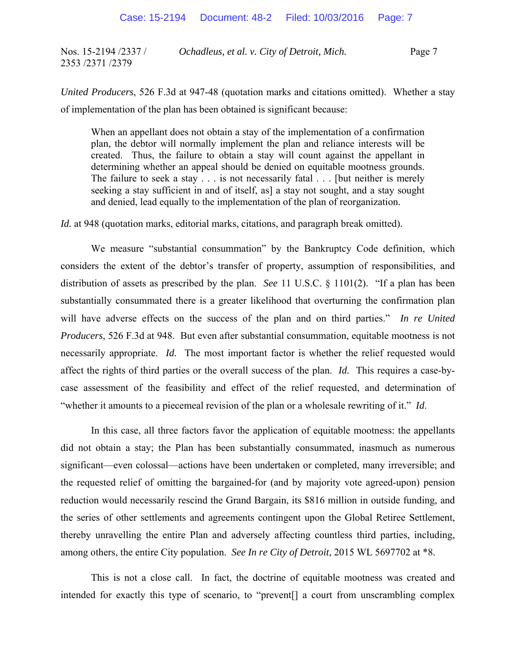*United Producers*, 526 F.3d at 947-48 (quotation marks and citations omitted). Whether a stay of implementation of the plan has been obtained is significant because:

When an appellant does not obtain a stay of the implementation of a confirmation plan, the debtor will normally implement the plan and reliance interests will be created. Thus, the failure to obtain a stay will count against the appellant in determining whether an appeal should be denied on equitable mootness grounds. The failure to seek a stay . . . is not necessarily fatal . . . [but neither is merely seeking a stay sufficient in and of itself, as] a stay not sought, and a stay sought and denied, lead equally to the implementation of the plan of reorganization.

*Id.* at 948 (quotation marks, editorial marks, citations, and paragraph break omitted).

 We measure "substantial consummation" by the Bankruptcy Code definition, which considers the extent of the debtor's transfer of property, assumption of responsibilities, and distribution of assets as prescribed by the plan. *See* 11 U.S.C. § 1101(2). "If a plan has been substantially consummated there is a greater likelihood that overturning the confirmation plan will have adverse effects on the success of the plan and on third parties." *In re United Producers*, 526 F.3d at 948. But even after substantial consummation, equitable mootness is not necessarily appropriate. *Id.* The most important factor is whether the relief requested would affect the rights of third parties or the overall success of the plan. *Id.* This requires a case-bycase assessment of the feasibility and effect of the relief requested, and determination of "whether it amounts to a piecemeal revision of the plan or a wholesale rewriting of it." *Id*.

 In this case, all three factors favor the application of equitable mootness: the appellants did not obtain a stay; the Plan has been substantially consummated, inasmuch as numerous significant—even colossal—actions have been undertaken or completed, many irreversible; and the requested relief of omitting the bargained-for (and by majority vote agreed-upon) pension reduction would necessarily rescind the Grand Bargain, its \$816 million in outside funding, and the series of other settlements and agreements contingent upon the Global Retiree Settlement, thereby unravelling the entire Plan and adversely affecting countless third parties, including, among others, the entire City population. *See In re City of Detroit*, 2015 WL 5697702 at \*8.

 This is not a close call. In fact, the doctrine of equitable mootness was created and intended for exactly this type of scenario, to "prevent[] a court from unscrambling complex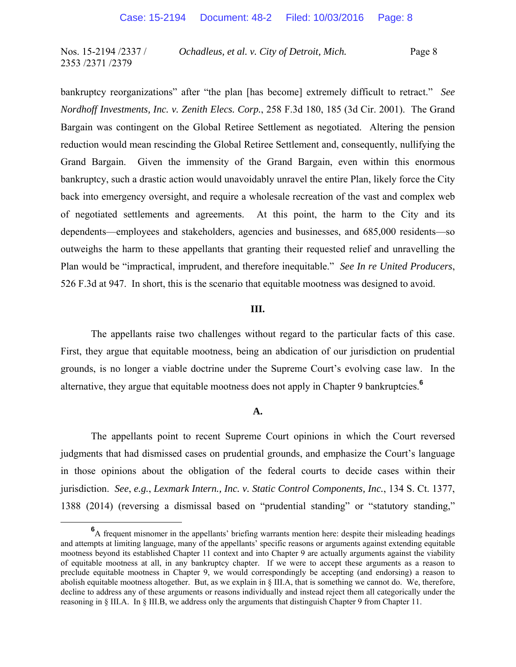bankruptcy reorganizations" after "the plan [has become] extremely difficult to retract." *See Nordhoff Investments, Inc. v. Zenith Elecs. Corp.*, 258 F.3d 180, 185 (3d Cir. 2001). The Grand Bargain was contingent on the Global Retiree Settlement as negotiated. Altering the pension reduction would mean rescinding the Global Retiree Settlement and, consequently, nullifying the Grand Bargain. Given the immensity of the Grand Bargain, even within this enormous bankruptcy, such a drastic action would unavoidably unravel the entire Plan, likely force the City back into emergency oversight, and require a wholesale recreation of the vast and complex web of negotiated settlements and agreements. At this point, the harm to the City and its dependents—employees and stakeholders, agencies and businesses, and 685,000 residents—so outweighs the harm to these appellants that granting their requested relief and unravelling the Plan would be "impractical, imprudent, and therefore inequitable." *See In re United Producers*, 526 F.3d at 947. In short, this is the scenario that equitable mootness was designed to avoid.

#### **III.**

 The appellants raise two challenges without regard to the particular facts of this case. First, they argue that equitable mootness, being an abdication of our jurisdiction on prudential grounds, is no longer a viable doctrine under the Supreme Court's evolving case law. In the alternative, they argue that equitable mootness does not apply in Chapter 9 bankruptcies.**<sup>6</sup>**

#### **A.**

 The appellants point to recent Supreme Court opinions in which the Court reversed judgments that had dismissed cases on prudential grounds, and emphasize the Court's language in those opinions about the obligation of the federal courts to decide cases within their jurisdiction. *See*, *e.g.*, *Lexmark Intern., Inc. v. Static Control Components, Inc.*, 134 S. Ct. 1377, 1388 (2014) (reversing a dismissal based on "prudential standing" or "statutory standing,"

**<sup>6</sup>** <sup>6</sup>A frequent misnomer in the appellants' briefing warrants mention here: despite their misleading headings and attempts at limiting language, many of the appellants' specific reasons or arguments against extending equitable mootness beyond its established Chapter 11 context and into Chapter 9 are actually arguments against the viability of equitable mootness at all, in any bankruptcy chapter. If we were to accept these arguments as a reason to preclude equitable mootness in Chapter 9, we would correspondingly be accepting (and endorsing) a reason to abolish equitable mootness altogether. But, as we explain in § III.A, that is something we cannot do. We, therefore, decline to address any of these arguments or reasons individually and instead reject them all categorically under the reasoning in § III.A. In § III.B, we address only the arguments that distinguish Chapter 9 from Chapter 11.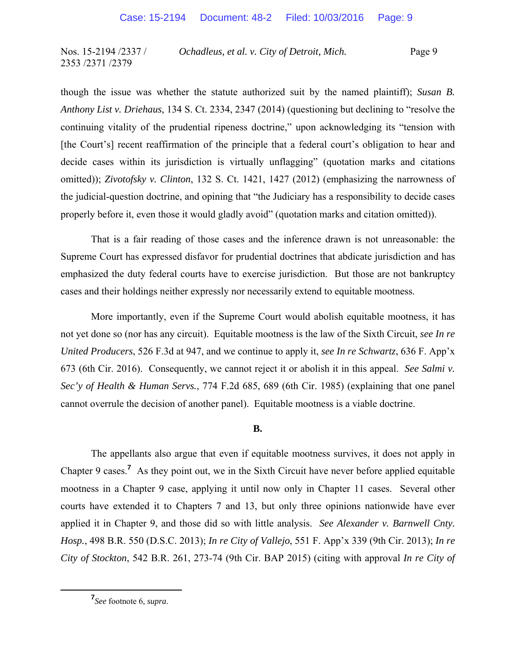though the issue was whether the statute authorized suit by the named plaintiff); *Susan B. Anthony List v. Driehaus*, 134 S. Ct. 2334, 2347 (2014) (questioning but declining to "resolve the continuing vitality of the prudential ripeness doctrine," upon acknowledging its "tension with [the Court's] recent reaffirmation of the principle that a federal court's obligation to hear and decide cases within its jurisdiction is virtually unflagging" (quotation marks and citations omitted)); *Zivotofsky v. Clinton*, 132 S. Ct. 1421, 1427 (2012) (emphasizing the narrowness of the judicial-question doctrine, and opining that "the Judiciary has a responsibility to decide cases properly before it, even those it would gladly avoid" (quotation marks and citation omitted)).

 That is a fair reading of those cases and the inference drawn is not unreasonable: the Supreme Court has expressed disfavor for prudential doctrines that abdicate jurisdiction and has emphasized the duty federal courts have to exercise jurisdiction. But those are not bankruptcy cases and their holdings neither expressly nor necessarily extend to equitable mootness.

 More importantly, even if the Supreme Court would abolish equitable mootness, it has not yet done so (nor has any circuit). Equitable mootness is the law of the Sixth Circuit, *see In re United Producers*, 526 F.3d at 947, and we continue to apply it, *see In re Schwartz*, 636 F. App'x 673 (6th Cir. 2016). Consequently, we cannot reject it or abolish it in this appeal. *See Salmi v. Sec'y of Health & Human Servs.*, 774 F.2d 685, 689 (6th Cir. 1985) (explaining that one panel cannot overrule the decision of another panel). Equitable mootness is a viable doctrine.

#### **B.**

 The appellants also argue that even if equitable mootness survives, it does not apply in Chapter 9 cases.<sup>7</sup> As they point out, we in the Sixth Circuit have never before applied equitable mootness in a Chapter 9 case, applying it until now only in Chapter 11 cases. Several other courts have extended it to Chapters 7 and 13, but only three opinions nationwide have ever applied it in Chapter 9, and those did so with little analysis. *See Alexander v. Barnwell Cnty. Hosp.*, 498 B.R. 550 (D.S.C. 2013); *In re City of Vallejo*, 551 F. App'x 339 (9th Cir. 2013); *In re City of Stockton*, 542 B.R. 261, 273-74 (9th Cir. BAP 2015) (citing with approval *In re City of* 

**<sup>7</sup>** *See* footnote 6, *supra*.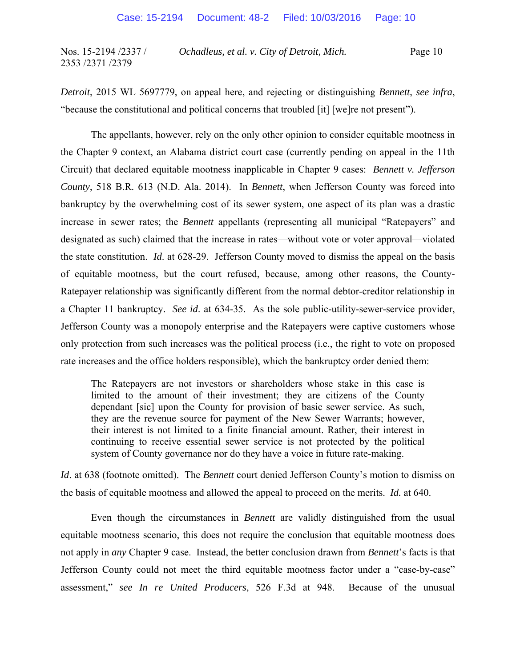*Detroit*, 2015 WL 5697779, on appeal here, and rejecting or distinguishing *Bennett*, *see infra*, "because the constitutional and political concerns that troubled [it] [we]re not present").

 The appellants, however, rely on the only other opinion to consider equitable mootness in the Chapter 9 context, an Alabama district court case (currently pending on appeal in the 11th Circuit) that declared equitable mootness inapplicable in Chapter 9 cases: *Bennett v. Jefferson County*, 518 B.R. 613 (N.D. Ala. 2014). In *Bennett*, when Jefferson County was forced into bankruptcy by the overwhelming cost of its sewer system, one aspect of its plan was a drastic increase in sewer rates; the *Bennett* appellants (representing all municipal "Ratepayers" and designated as such) claimed that the increase in rates—without vote or voter approval—violated the state constitution. *Id*. at 628-29. Jefferson County moved to dismiss the appeal on the basis of equitable mootness, but the court refused, because, among other reasons, the County-Ratepayer relationship was significantly different from the normal debtor-creditor relationship in a Chapter 11 bankruptcy. *See id*. at 634-35. As the sole public-utility-sewer-service provider, Jefferson County was a monopoly enterprise and the Ratepayers were captive customers whose only protection from such increases was the political process (i.e., the right to vote on proposed rate increases and the office holders responsible), which the bankruptcy order denied them:

The Ratepayers are not investors or shareholders whose stake in this case is limited to the amount of their investment; they are citizens of the County dependant [sic] upon the County for provision of basic sewer service. As such, they are the revenue source for payment of the New Sewer Warrants; however, their interest is not limited to a finite financial amount. Rather, their interest in continuing to receive essential sewer service is not protected by the political system of County governance nor do they have a voice in future rate-making.

*Id*. at 638 (footnote omitted). The *Bennett* court denied Jefferson County's motion to dismiss on the basis of equitable mootness and allowed the appeal to proceed on the merits. *Id.* at 640.

 Even though the circumstances in *Bennett* are validly distinguished from the usual equitable mootness scenario, this does not require the conclusion that equitable mootness does not apply in *any* Chapter 9 case. Instead, the better conclusion drawn from *Bennett*'s facts is that Jefferson County could not meet the third equitable mootness factor under a "case-by-case" assessment," *see In re United Producers*, 526 F.3d at 948. Because of the unusual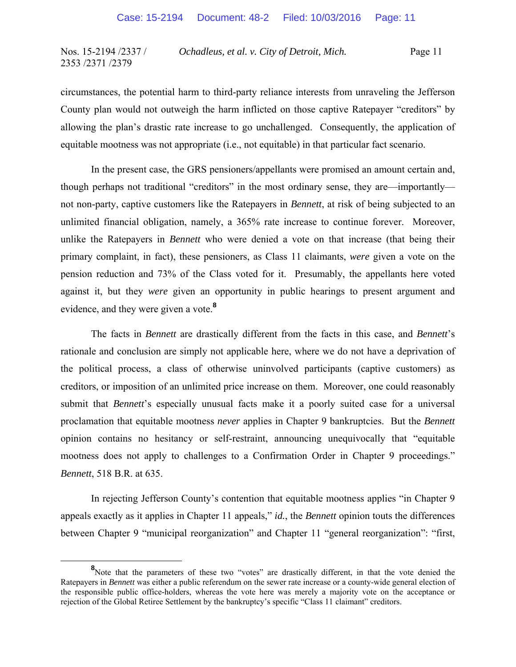circumstances, the potential harm to third-party reliance interests from unraveling the Jefferson County plan would not outweigh the harm inflicted on those captive Ratepayer "creditors" by allowing the plan's drastic rate increase to go unchallenged. Consequently, the application of equitable mootness was not appropriate (i.e., not equitable) in that particular fact scenario.

 In the present case, the GRS pensioners/appellants were promised an amount certain and, though perhaps not traditional "creditors" in the most ordinary sense, they are—importantly not non-party, captive customers like the Ratepayers in *Bennett*, at risk of being subjected to an unlimited financial obligation, namely, a 365% rate increase to continue forever. Moreover, unlike the Ratepayers in *Bennett* who were denied a vote on that increase (that being their primary complaint, in fact), these pensioners, as Class 11 claimants, *were* given a vote on the pension reduction and 73% of the Class voted for it. Presumably, the appellants here voted against it, but they *were* given an opportunity in public hearings to present argument and evidence, and they were given a vote.**<sup>8</sup>**

 The facts in *Bennett* are drastically different from the facts in this case, and *Bennett*'s rationale and conclusion are simply not applicable here, where we do not have a deprivation of the political process, a class of otherwise uninvolved participants (captive customers) as creditors, or imposition of an unlimited price increase on them. Moreover, one could reasonably submit that *Bennett*'s especially unusual facts make it a poorly suited case for a universal proclamation that equitable mootness *never* applies in Chapter 9 bankruptcies. But the *Bennett* opinion contains no hesitancy or self-restraint, announcing unequivocally that "equitable mootness does not apply to challenges to a Confirmation Order in Chapter 9 proceedings." *Bennett*, 518 B.R. at 635.

 In rejecting Jefferson County's contention that equitable mootness applies "in Chapter 9 appeals exactly as it applies in Chapter 11 appeals," *id.*, the *Bennett* opinion touts the differences between Chapter 9 "municipal reorganization" and Chapter 11 "general reorganization": "first,

**<sup>8</sup>** <sup>8</sup>Note that the parameters of these two "votes" are drastically different, in that the vote denied the Ratepayers in *Bennett* was either a public referendum on the sewer rate increase or a county-wide general election of the responsible public office-holders, whereas the vote here was merely a majority vote on the acceptance or rejection of the Global Retiree Settlement by the bankruptcy's specific "Class 11 claimant" creditors.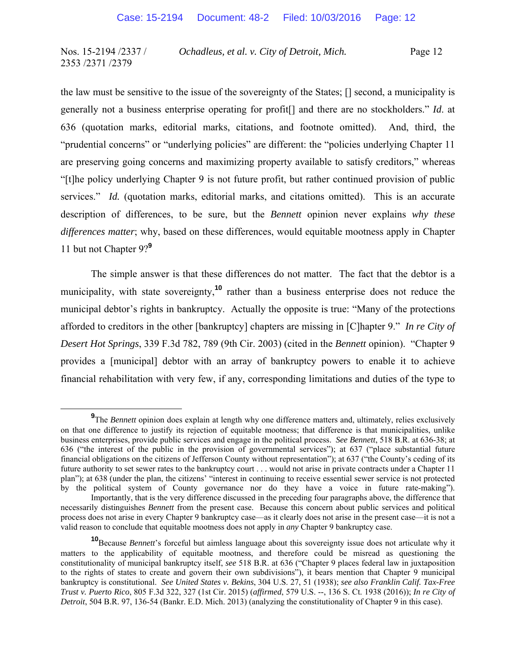the law must be sensitive to the issue of the sovereignty of the States; [] second, a municipality is generally not a business enterprise operating for profit[] and there are no stockholders." *Id*. at 636 (quotation marks, editorial marks, citations, and footnote omitted). And, third, the "prudential concerns" or "underlying policies" are different: the "policies underlying Chapter 11 are preserving going concerns and maximizing property available to satisfy creditors," whereas "[t]he policy underlying Chapter 9 is not future profit, but rather continued provision of public services." *Id.* (quotation marks, editorial marks, and citations omitted). This is an accurate description of differences, to be sure, but the *Bennett* opinion never explains *why these differences matter*; why, based on these differences, would equitable mootness apply in Chapter 11 but not Chapter 9?**<sup>9</sup>**

 The simple answer is that these differences do not matter. The fact that the debtor is a municipality, with state sovereignty,<sup>10</sup> rather than a business enterprise does not reduce the municipal debtor's rights in bankruptcy. Actually the opposite is true: "Many of the protections afforded to creditors in the other [bankruptcy] chapters are missing in [C]hapter 9." *In re City of Desert Hot Springs*, 339 F.3d 782, 789 (9th Cir. 2003) (cited in the *Bennett* opinion). "Chapter 9 provides a [municipal] debtor with an array of bankruptcy powers to enable it to achieve financial rehabilitation with very few, if any, corresponding limitations and duties of the type to

**<sup>9</sup>** <sup>9</sup>The *Bennett* opinion does explain at length why one difference matters and, ultimately, relies exclusively on that one difference to justify its rejection of equitable mootness; that difference is that municipalities, unlike business enterprises, provide public services and engage in the political process. *See Bennett*, 518 B.R. at 636-38; at 636 ("the interest of the public in the provision of governmental services"); at 637 ("place substantial future financial obligations on the citizens of Jefferson County without representation"); at 637 ("the County's ceding of its future authority to set sewer rates to the bankruptcy court . . . would not arise in private contracts under a Chapter 11 plan"); at 638 (under the plan, the citizens' "interest in continuing to receive essential sewer service is not protected by the political system of County governance nor do they have a voice in future rate-making").

Importantly, that is the very difference discussed in the preceding four paragraphs above, the difference that necessarily distinguishes *Bennett* from the present case. Because this concern about public services and political process does not arise in every Chapter 9 bankruptcy case—as it clearly does not arise in the present case—it is not a valid reason to conclude that equitable mootness does not apply in *any* Chapter 9 bankruptcy case.

**<sup>10</sup>**Because *Bennett*'s forceful but aimless language about this sovereignty issue does not articulate why it matters to the applicability of equitable mootness, and therefore could be misread as questioning the constitutionality of municipal bankruptcy itself, *see* 518 B.R. at 636 ("Chapter 9 places federal law in juxtaposition to the rights of states to create and govern their own subdivisions"), it bears mention that Chapter 9 municipal bankruptcy is constitutional. *See United States v. Bekins*, 304 U.S. 27, 51 (1938); *see also Franklin Calif. Tax-Free Trust v. Puerto Rico*, 805 F.3d 322, 327 (1st Cir. 2015) (*affirmed*, 579 U.S. --, 136 S. Ct. 1938 (2016)); *In re City of Detroit*, 504 B.R. 97, 136-54 (Bankr. E.D. Mich. 2013) (analyzing the constitutionality of Chapter 9 in this case).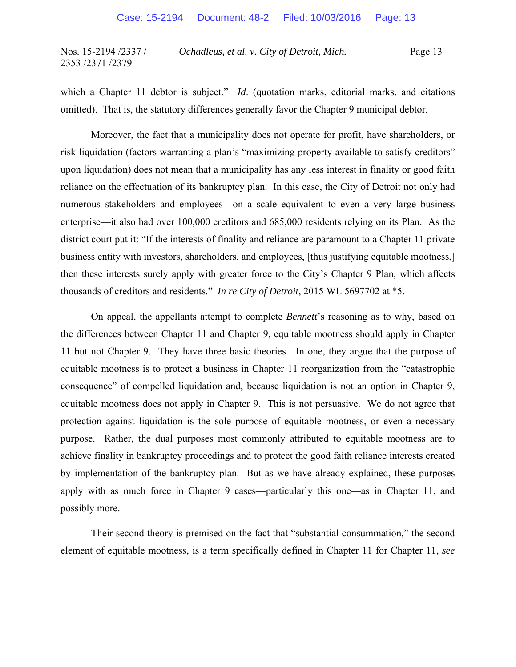which a Chapter 11 debtor is subject." *Id.* (quotation marks, editorial marks, and citations omitted). That is, the statutory differences generally favor the Chapter 9 municipal debtor.

 Moreover, the fact that a municipality does not operate for profit, have shareholders, or risk liquidation (factors warranting a plan's "maximizing property available to satisfy creditors" upon liquidation) does not mean that a municipality has any less interest in finality or good faith reliance on the effectuation of its bankruptcy plan. In this case, the City of Detroit not only had numerous stakeholders and employees—on a scale equivalent to even a very large business enterprise—it also had over 100,000 creditors and 685,000 residents relying on its Plan. As the district court put it: "If the interests of finality and reliance are paramount to a Chapter 11 private business entity with investors, shareholders, and employees, [thus justifying equitable mootness,] then these interests surely apply with greater force to the City's Chapter 9 Plan, which affects thousands of creditors and residents." *In re City of Detroit*, 2015 WL 5697702 at \*5.

 On appeal, the appellants attempt to complete *Bennett*'s reasoning as to why, based on the differences between Chapter 11 and Chapter 9, equitable mootness should apply in Chapter 11 but not Chapter 9. They have three basic theories. In one, they argue that the purpose of equitable mootness is to protect a business in Chapter 11 reorganization from the "catastrophic consequence" of compelled liquidation and, because liquidation is not an option in Chapter 9, equitable mootness does not apply in Chapter 9. This is not persuasive. We do not agree that protection against liquidation is the sole purpose of equitable mootness, or even a necessary purpose. Rather, the dual purposes most commonly attributed to equitable mootness are to achieve finality in bankruptcy proceedings and to protect the good faith reliance interests created by implementation of the bankruptcy plan. But as we have already explained, these purposes apply with as much force in Chapter 9 cases—particularly this one—as in Chapter 11, and possibly more.

 Their second theory is premised on the fact that "substantial consummation," the second element of equitable mootness, is a term specifically defined in Chapter 11 for Chapter 11, *see*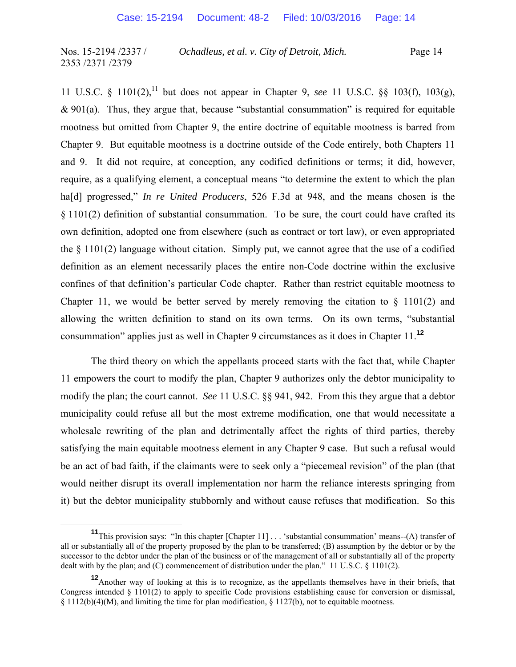11 U.S.C. § 1101(2),11 but does not appear in Chapter 9, *see* 11 U.S.C. §§ 103(f), 103(g),  $& 901(a)$ . Thus, they argue that, because "substantial consummation" is required for equitable mootness but omitted from Chapter 9, the entire doctrine of equitable mootness is barred from Chapter 9. But equitable mootness is a doctrine outside of the Code entirely, both Chapters 11 and 9. It did not require, at conception, any codified definitions or terms; it did, however, require, as a qualifying element, a conceptual means "to determine the extent to which the plan ha[d] progressed," *In re United Producers*, 526 F.3d at 948, and the means chosen is the § 1101(2) definition of substantial consummation. To be sure, the court could have crafted its own definition, adopted one from elsewhere (such as contract or tort law), or even appropriated the  $\S 1101(2)$  language without citation. Simply put, we cannot agree that the use of a codified definition as an element necessarily places the entire non-Code doctrine within the exclusive confines of that definition's particular Code chapter. Rather than restrict equitable mootness to Chapter 11, we would be better served by merely removing the citation to  $\S$  1101(2) and allowing the written definition to stand on its own terms. On its own terms, "substantial consummation" applies just as well in Chapter 9 circumstances as it does in Chapter 11.**<sup>12</sup>**

 The third theory on which the appellants proceed starts with the fact that, while Chapter 11 empowers the court to modify the plan, Chapter 9 authorizes only the debtor municipality to modify the plan; the court cannot. *See* 11 U.S.C. §§ 941, 942. From this they argue that a debtor municipality could refuse all but the most extreme modification, one that would necessitate a wholesale rewriting of the plan and detrimentally affect the rights of third parties, thereby satisfying the main equitable mootness element in any Chapter 9 case. But such a refusal would be an act of bad faith, if the claimants were to seek only a "piecemeal revision" of the plan (that would neither disrupt its overall implementation nor harm the reliance interests springing from it) but the debtor municipality stubbornly and without cause refuses that modification. So this

**<sup>11</sup>**This provision says: "In this chapter [Chapter 11] . . . 'substantial consummation' means--(A) transfer of all or substantially all of the property proposed by the plan to be transferred; (B) assumption by the debtor or by the successor to the debtor under the plan of the business or of the management of all or substantially all of the property dealt with by the plan; and (C) commencement of distribution under the plan." 11 U.S.C. § 1101(2).

**<sup>12</sup>**Another way of looking at this is to recognize, as the appellants themselves have in their briefs, that Congress intended § 1101(2) to apply to specific Code provisions establishing cause for conversion or dismissal, § 1112(b)(4)(M), and limiting the time for plan modification, § 1127(b), not to equitable mootness.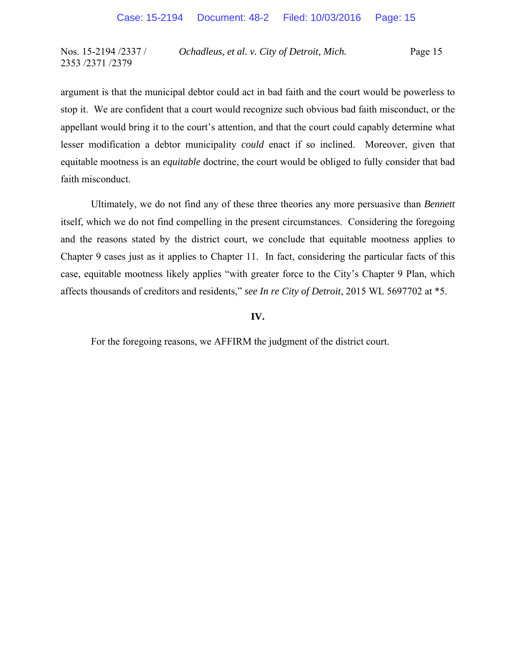argument is that the municipal debtor could act in bad faith and the court would be powerless to stop it. We are confident that a court would recognize such obvious bad faith misconduct, or the appellant would bring it to the court's attention, and that the court could capably determine what lesser modification a debtor municipality *could* enact if so inclined. Moreover, given that equitable mootness is an *equitable* doctrine, the court would be obliged to fully consider that bad faith misconduct.

 Ultimately, we do not find any of these three theories any more persuasive than *Bennett* itself, which we do not find compelling in the present circumstances. Considering the foregoing and the reasons stated by the district court, we conclude that equitable mootness applies to Chapter 9 cases just as it applies to Chapter 11. In fact, considering the particular facts of this case, equitable mootness likely applies "with greater force to the City's Chapter 9 Plan, which affects thousands of creditors and residents," *see In re City of Detroit*, 2015 WL 5697702 at \*5.

#### **IV.**

For the foregoing reasons, we AFFIRM the judgment of the district court.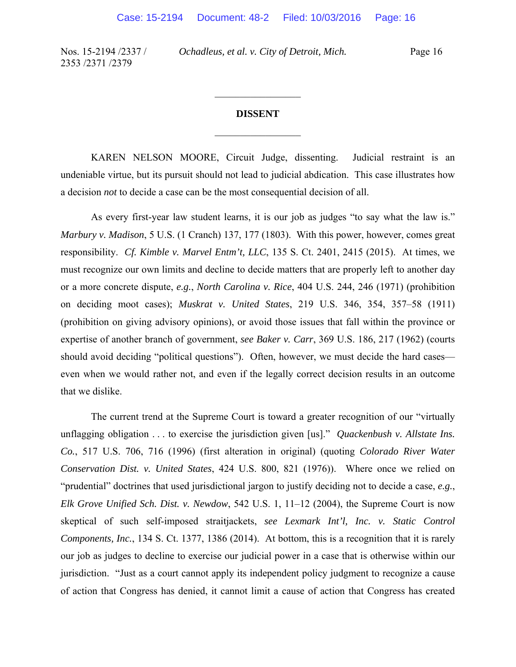Nos. 15-2194 /2337 / 2353 /2371 /2379

*Ochadleus, et al. v. City of Detroit, Mich.* Page 16

#### **DISSENT**

 $\frac{1}{2}$ 

 $\frac{1}{2}$ 

KAREN NELSON MOORE, Circuit Judge, dissenting. Judicial restraint is an undeniable virtue, but its pursuit should not lead to judicial abdication. This case illustrates how a decision *not* to decide a case can be the most consequential decision of all.

As every first-year law student learns, it is our job as judges "to say what the law is." *Marbury v. Madison*, 5 U.S. (1 Cranch) 137, 177 (1803). With this power, however, comes great responsibility. *Cf. Kimble v. Marvel Entm't, LLC*, 135 S. Ct. 2401, 2415 (2015). At times, we must recognize our own limits and decline to decide matters that are properly left to another day or a more concrete dispute, *e.g.*, *North Carolina v. Rice*, 404 U.S. 244, 246 (1971) (prohibition on deciding moot cases); *Muskrat v. United States*, 219 U.S. 346, 354, 357–58 (1911) (prohibition on giving advisory opinions), or avoid those issues that fall within the province or expertise of another branch of government, *see Baker v. Carr*, 369 U.S. 186, 217 (1962) (courts should avoid deciding "political questions"). Often, however, we must decide the hard cases even when we would rather not, and even if the legally correct decision results in an outcome that we dislike.

The current trend at the Supreme Court is toward a greater recognition of our "virtually unflagging obligation . . . to exercise the jurisdiction given [us]." *Quackenbush v. Allstate Ins. Co.*, 517 U.S. 706, 716 (1996) (first alteration in original) (quoting *Colorado River Water Conservation Dist. v. United States*, 424 U.S. 800, 821 (1976)). Where once we relied on "prudential" doctrines that used jurisdictional jargon to justify deciding not to decide a case, *e.g.*, *Elk Grove Unified Sch. Dist. v. Newdow*, 542 U.S. 1, 11–12 (2004), the Supreme Court is now skeptical of such self-imposed straitjackets, *see Lexmark Int'l, Inc. v. Static Control Components, Inc.*, 134 S. Ct. 1377, 1386 (2014). At bottom, this is a recognition that it is rarely our job as judges to decline to exercise our judicial power in a case that is otherwise within our jurisdiction. "Just as a court cannot apply its independent policy judgment to recognize a cause of action that Congress has denied, it cannot limit a cause of action that Congress has created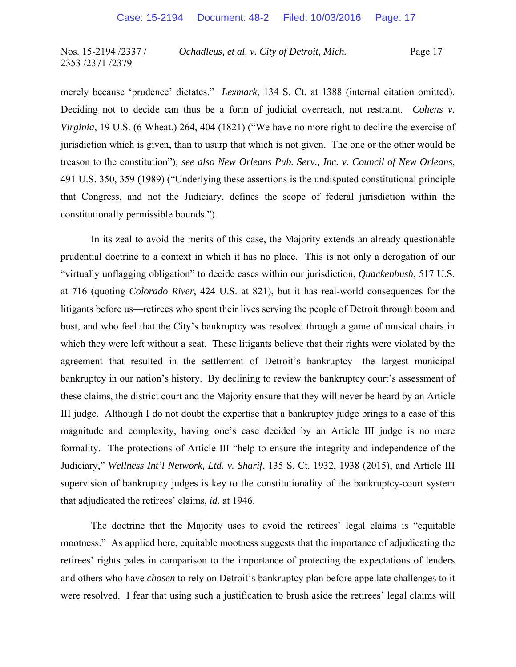merely because 'prudence' dictates." *Lexmark*, 134 S. Ct. at 1388 (internal citation omitted). Deciding not to decide can thus be a form of judicial overreach, not restraint. *Cohens v. Virginia*, 19 U.S. (6 Wheat.) 264, 404 (1821) ("We have no more right to decline the exercise of jurisdiction which is given, than to usurp that which is not given. The one or the other would be treason to the constitution"); *see also New Orleans Pub. Serv., Inc. v. Council of New Orleans*, 491 U.S. 350, 359 (1989) ("Underlying these assertions is the undisputed constitutional principle that Congress, and not the Judiciary, defines the scope of federal jurisdiction within the constitutionally permissible bounds.").

In its zeal to avoid the merits of this case, the Majority extends an already questionable prudential doctrine to a context in which it has no place. This is not only a derogation of our "virtually unflagging obligation" to decide cases within our jurisdiction, *Quackenbush*, 517 U.S. at 716 (quoting *Colorado River*, 424 U.S. at 821), but it has real-world consequences for the litigants before us—retirees who spent their lives serving the people of Detroit through boom and bust, and who feel that the City's bankruptcy was resolved through a game of musical chairs in which they were left without a seat. These litigants believe that their rights were violated by the agreement that resulted in the settlement of Detroit's bankruptcy—the largest municipal bankruptcy in our nation's history. By declining to review the bankruptcy court's assessment of these claims, the district court and the Majority ensure that they will never be heard by an Article III judge. Although I do not doubt the expertise that a bankruptcy judge brings to a case of this magnitude and complexity, having one's case decided by an Article III judge is no mere formality. The protections of Article III "help to ensure the integrity and independence of the Judiciary," *Wellness Int'l Network, Ltd. v. Sharif*, 135 S. Ct. 1932, 1938 (2015), and Article III supervision of bankruptcy judges is key to the constitutionality of the bankruptcy-court system that adjudicated the retirees' claims, *id.* at 1946.

The doctrine that the Majority uses to avoid the retirees' legal claims is "equitable mootness." As applied here, equitable mootness suggests that the importance of adjudicating the retirees' rights pales in comparison to the importance of protecting the expectations of lenders and others who have *chosen* to rely on Detroit's bankruptcy plan before appellate challenges to it were resolved. I fear that using such a justification to brush aside the retirees' legal claims will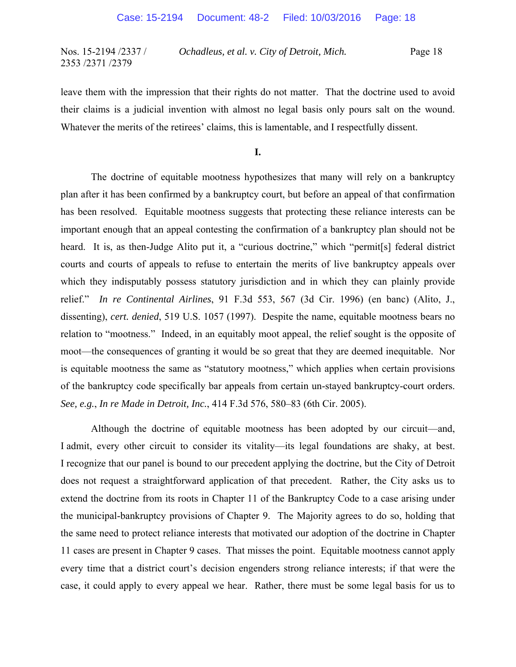leave them with the impression that their rights do not matter. That the doctrine used to avoid their claims is a judicial invention with almost no legal basis only pours salt on the wound. Whatever the merits of the retirees' claims, this is lamentable, and I respectfully dissent.

**I.** 

 The doctrine of equitable mootness hypothesizes that many will rely on a bankruptcy plan after it has been confirmed by a bankruptcy court, but before an appeal of that confirmation has been resolved. Equitable mootness suggests that protecting these reliance interests can be important enough that an appeal contesting the confirmation of a bankruptcy plan should not be heard. It is, as then-Judge Alito put it, a "curious doctrine," which "permit[s] federal district courts and courts of appeals to refuse to entertain the merits of live bankruptcy appeals over which they indisputably possess statutory jurisdiction and in which they can plainly provide relief." *In re Continental Airlines*, 91 F.3d 553, 567 (3d Cir. 1996) (en banc) (Alito, J., dissenting), *cert. denied*, 519 U.S. 1057 (1997). Despite the name, equitable mootness bears no relation to "mootness." Indeed, in an equitably moot appeal, the relief sought is the opposite of moot—the consequences of granting it would be so great that they are deemed inequitable. Nor is equitable mootness the same as "statutory mootness," which applies when certain provisions of the bankruptcy code specifically bar appeals from certain un-stayed bankruptcy-court orders. *See, e.g.*, *In re Made in Detroit, Inc.*, 414 F.3d 576, 580–83 (6th Cir. 2005).

Although the doctrine of equitable mootness has been adopted by our circuit—and, I admit, every other circuit to consider its vitality—its legal foundations are shaky, at best. I recognize that our panel is bound to our precedent applying the doctrine, but the City of Detroit does not request a straightforward application of that precedent. Rather, the City asks us to extend the doctrine from its roots in Chapter 11 of the Bankruptcy Code to a case arising under the municipal-bankruptcy provisions of Chapter 9. The Majority agrees to do so, holding that the same need to protect reliance interests that motivated our adoption of the doctrine in Chapter 11 cases are present in Chapter 9 cases. That misses the point. Equitable mootness cannot apply every time that a district court's decision engenders strong reliance interests; if that were the case, it could apply to every appeal we hear. Rather, there must be some legal basis for us to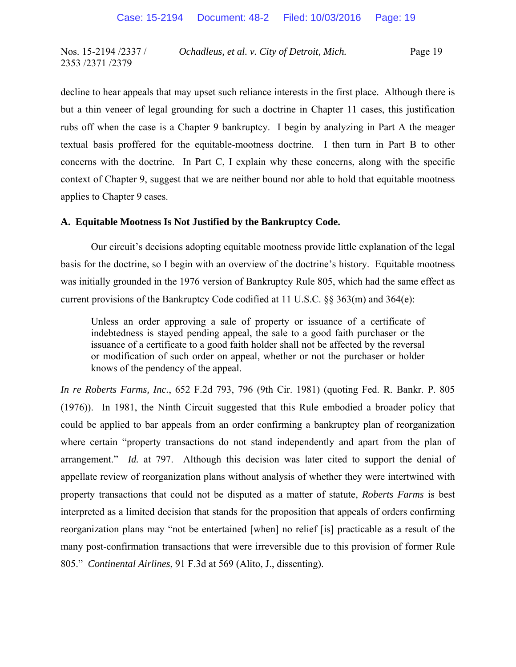decline to hear appeals that may upset such reliance interests in the first place. Although there is but a thin veneer of legal grounding for such a doctrine in Chapter 11 cases, this justification rubs off when the case is a Chapter 9 bankruptcy. I begin by analyzing in Part A the meager textual basis proffered for the equitable-mootness doctrine. I then turn in Part B to other concerns with the doctrine. In Part C, I explain why these concerns, along with the specific context of Chapter 9, suggest that we are neither bound nor able to hold that equitable mootness applies to Chapter 9 cases.

#### **A. Equitable Mootness Is Not Justified by the Bankruptcy Code.**

Our circuit's decisions adopting equitable mootness provide little explanation of the legal basis for the doctrine, so I begin with an overview of the doctrine's history. Equitable mootness was initially grounded in the 1976 version of Bankruptcy Rule 805, which had the same effect as current provisions of the Bankruptcy Code codified at 11 U.S.C. §§ 363(m) and 364(e):

Unless an order approving a sale of property or issuance of a certificate of indebtedness is stayed pending appeal, the sale to a good faith purchaser or the issuance of a certificate to a good faith holder shall not be affected by the reversal or modification of such order on appeal, whether or not the purchaser or holder knows of the pendency of the appeal.

*In re Roberts Farms, Inc.*, 652 F.2d 793, 796 (9th Cir. 1981) (quoting Fed. R. Bankr. P. 805 (1976)). In 1981, the Ninth Circuit suggested that this Rule embodied a broader policy that could be applied to bar appeals from an order confirming a bankruptcy plan of reorganization where certain "property transactions do not stand independently and apart from the plan of arrangement." *Id.* at 797. Although this decision was later cited to support the denial of appellate review of reorganization plans without analysis of whether they were intertwined with property transactions that could not be disputed as a matter of statute, *Roberts Farms* is best interpreted as a limited decision that stands for the proposition that appeals of orders confirming reorganization plans may "not be entertained [when] no relief [is] practicable as a result of the many post-confirmation transactions that were irreversible due to this provision of former Rule 805." *Continental Airlines*, 91 F.3d at 569 (Alito, J., dissenting).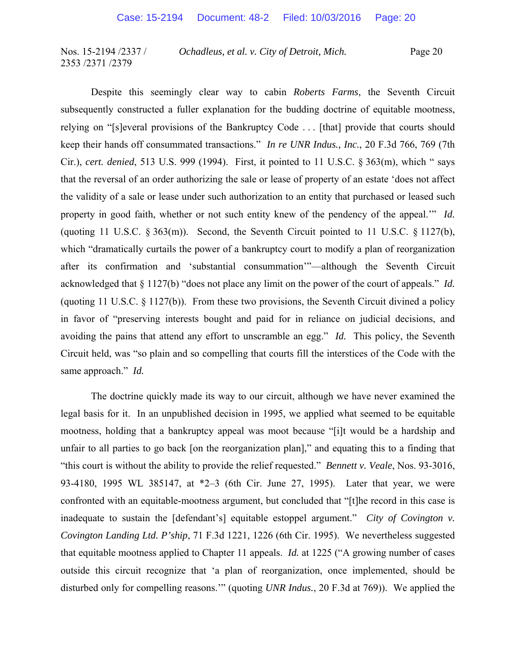Despite this seemingly clear way to cabin *Roberts Farms*, the Seventh Circuit subsequently constructed a fuller explanation for the budding doctrine of equitable mootness, relying on "[s]everal provisions of the Bankruptcy Code . . . [that] provide that courts should keep their hands off consummated transactions." *In re UNR Indus., Inc.*, 20 F.3d 766, 769 (7th Cir.), *cert. denied*, 513 U.S. 999 (1994). First, it pointed to 11 U.S.C. § 363(m), which " says that the reversal of an order authorizing the sale or lease of property of an estate 'does not affect the validity of a sale or lease under such authorization to an entity that purchased or leased such property in good faith, whether or not such entity knew of the pendency of the appeal.'" *Id.*  (quoting 11 U.S.C.  $\S 363(m)$ ). Second, the Seventh Circuit pointed to 11 U.S.C.  $\S 1127(b)$ , which "dramatically curtails the power of a bankruptcy court to modify a plan of reorganization after its confirmation and 'substantial consummation'"—although the Seventh Circuit acknowledged that § 1127(b) "does not place any limit on the power of the court of appeals." *Id.*  (quoting 11 U.S.C. § 1127(b)). From these two provisions, the Seventh Circuit divined a policy in favor of "preserving interests bought and paid for in reliance on judicial decisions, and avoiding the pains that attend any effort to unscramble an egg." *Id.* This policy, the Seventh Circuit held, was "so plain and so compelling that courts fill the interstices of the Code with the same approach." *Id.*

The doctrine quickly made its way to our circuit, although we have never examined the legal basis for it. In an unpublished decision in 1995, we applied what seemed to be equitable mootness, holding that a bankruptcy appeal was moot because "[i]t would be a hardship and unfair to all parties to go back [on the reorganization plan]," and equating this to a finding that "this court is without the ability to provide the relief requested." *Bennett v. Veale*, Nos. 93-3016, 93-4180, 1995 WL 385147, at \*2–3 (6th Cir. June 27, 1995). Later that year, we were confronted with an equitable-mootness argument, but concluded that "[t]he record in this case is inadequate to sustain the [defendant's] equitable estoppel argument." *City of Covington v. Covington Landing Ltd. P'ship*, 71 F.3d 1221, 1226 (6th Cir. 1995). We nevertheless suggested that equitable mootness applied to Chapter 11 appeals. *Id.* at 1225 ("A growing number of cases outside this circuit recognize that 'a plan of reorganization, once implemented, should be disturbed only for compelling reasons.'" (quoting *UNR Indus.*, 20 F.3d at 769)). We applied the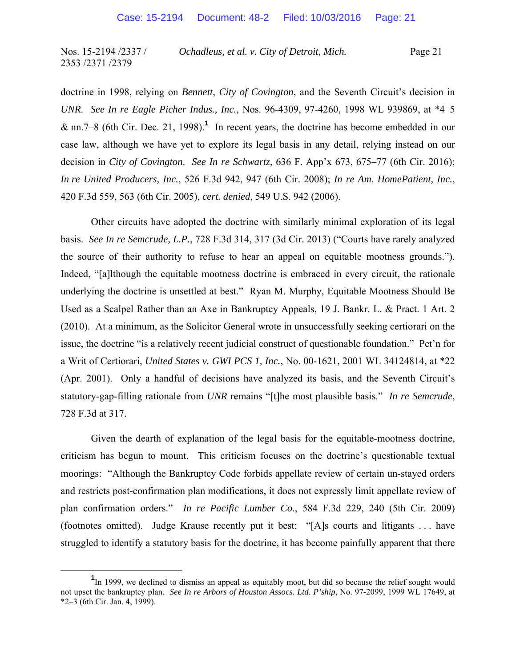doctrine in 1998, relying on *Bennett*, *City of Covington*, and the Seventh Circuit's decision in *UNR*. *See In re Eagle Picher Indus., Inc.*, Nos. 96-4309, 97-4260, 1998 WL 939869, at \*4–5 & nn.7–8 (6th Cir. Dec. 21, 1998).<sup>1</sup> In recent years, the doctrine has become embedded in our case law, although we have yet to explore its legal basis in any detail, relying instead on our decision in *City of Covington*. *See In re Schwartz*, 636 F. App'x 673, 675–77 (6th Cir. 2016); *In re United Producers, Inc.*, 526 F.3d 942, 947 (6th Cir. 2008); *In re Am. HomePatient, Inc.*, 420 F.3d 559, 563 (6th Cir. 2005), *cert. denied*, 549 U.S. 942 (2006).

Other circuits have adopted the doctrine with similarly minimal exploration of its legal basis. *See In re Semcrude, L.P.*, 728 F.3d 314, 317 (3d Cir. 2013) ("Courts have rarely analyzed the source of their authority to refuse to hear an appeal on equitable mootness grounds."). Indeed, "[a]lthough the equitable mootness doctrine is embraced in every circuit, the rationale underlying the doctrine is unsettled at best." Ryan M. Murphy, Equitable Mootness Should Be Used as a Scalpel Rather than an Axe in Bankruptcy Appeals, 19 J. Bankr. L. & Pract. 1 Art. 2 (2010). At a minimum, as the Solicitor General wrote in unsuccessfully seeking certiorari on the issue, the doctrine "is a relatively recent judicial construct of questionable foundation." Pet'n for a Writ of Certiorari, *United States v. GWI PCS 1, Inc.*, No. 00-1621, 2001 WL 34124814, at \*22 (Apr. 2001). Only a handful of decisions have analyzed its basis, and the Seventh Circuit's statutory-gap-filling rationale from *UNR* remains "[t]he most plausible basis." *In re Semcrude*, 728 F.3d at 317.

Given the dearth of explanation of the legal basis for the equitable-mootness doctrine, criticism has begun to mount. This criticism focuses on the doctrine's questionable textual moorings: "Although the Bankruptcy Code forbids appellate review of certain un-stayed orders and restricts post-confirmation plan modifications, it does not expressly limit appellate review of plan confirmation orders." *In re Pacific Lumber Co.*, 584 F.3d 229, 240 (5th Cir. 2009) (footnotes omitted). Judge Krause recently put it best: "[A]s courts and litigants . . . have struggled to identify a statutory basis for the doctrine, it has become painfully apparent that there

 $\frac{1}{1}$ <sup>1</sup>In 1999, we declined to dismiss an appeal as equitably moot, but did so because the relief sought would not upset the bankruptcy plan. *See In re Arbors of Houston Assocs. Ltd. P'ship*, No. 97-2099, 1999 WL 17649, at \*2–3 (6th Cir. Jan. 4, 1999).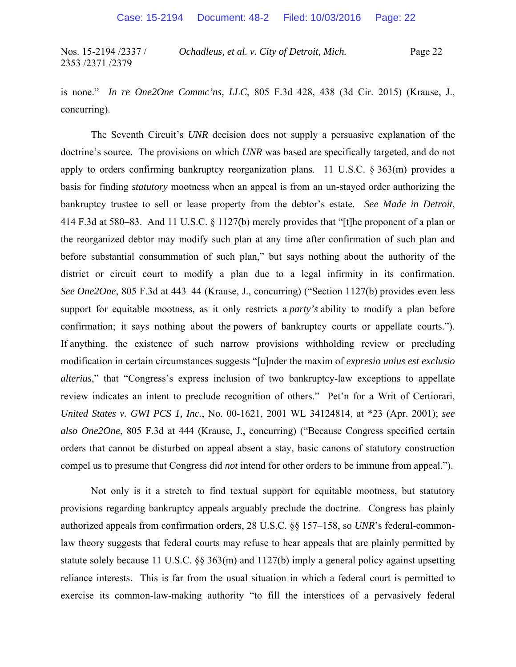is none." *In re One2One Commc'ns, LLC*, 805 F.3d 428, 438 (3d Cir. 2015) (Krause, J., concurring).

The Seventh Circuit's *UNR* decision does not supply a persuasive explanation of the doctrine's source. The provisions on which *UNR* was based are specifically targeted, and do not apply to orders confirming bankruptcy reorganization plans. 11 U.S.C. § 363(m) provides a basis for finding *statutory* mootness when an appeal is from an un-stayed order authorizing the bankruptcy trustee to sell or lease property from the debtor's estate. *See Made in Detroit*, 414 F.3d at 580–83. And 11 U.S.C. § 1127(b) merely provides that "[t]he proponent of a plan or the reorganized debtor may modify such plan at any time after confirmation of such plan and before substantial consummation of such plan," but says nothing about the authority of the district or circuit court to modify a plan due to a legal infirmity in its confirmation. *See One2One*, 805 F.3d at 443–44 (Krause, J., concurring) ("Section 1127(b) provides even less support for equitable mootness, as it only restricts a *party's* ability to modify a plan before confirmation; it says nothing about the powers of bankruptcy courts or appellate courts."). If anything, the existence of such narrow provisions withholding review or precluding modification in certain circumstances suggests "[u]nder the maxim of *expresio unius est exclusio alterius*," that "Congress's express inclusion of two bankruptcy-law exceptions to appellate review indicates an intent to preclude recognition of others." Pet'n for a Writ of Certiorari, *United States v. GWI PCS 1, Inc.*, No. 00-1621, 2001 WL 34124814, at \*23 (Apr. 2001); *see also One2One*, 805 F.3d at 444 (Krause, J., concurring) ("Because Congress specified certain orders that cannot be disturbed on appeal absent a stay, basic canons of statutory construction compel us to presume that Congress did *not* intend for other orders to be immune from appeal.").

Not only is it a stretch to find textual support for equitable mootness, but statutory provisions regarding bankruptcy appeals arguably preclude the doctrine. Congress has plainly authorized appeals from confirmation orders, 28 U.S.C. §§ 157–158, so *UNR*'s federal-commonlaw theory suggests that federal courts may refuse to hear appeals that are plainly permitted by statute solely because 11 U.S.C. §§ 363(m) and 1127(b) imply a general policy against upsetting reliance interests. This is far from the usual situation in which a federal court is permitted to exercise its common-law-making authority "to fill the interstices of a pervasively federal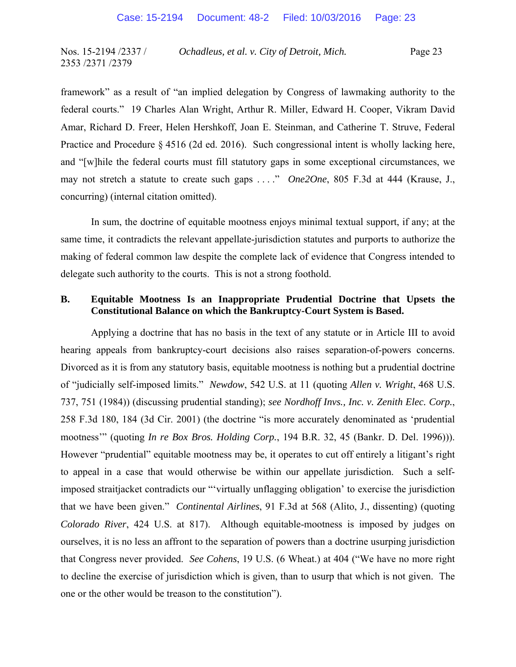framework" as a result of "an implied delegation by Congress of lawmaking authority to the federal courts." 19 Charles Alan Wright, Arthur R. Miller, Edward H. Cooper, Vikram David Amar, Richard D. Freer, Helen Hershkoff, Joan E. Steinman, and Catherine T. Struve, Federal Practice and Procedure § 4516 (2d ed. 2016). Such congressional intent is wholly lacking here, and "[w]hile the federal courts must fill statutory gaps in some exceptional circumstances, we may not stretch a statute to create such gaps . . . ." *One2One*, 805 F.3d at 444 (Krause, J., concurring) (internal citation omitted).

In sum, the doctrine of equitable mootness enjoys minimal textual support, if any; at the same time, it contradicts the relevant appellate-jurisdiction statutes and purports to authorize the making of federal common law despite the complete lack of evidence that Congress intended to delegate such authority to the courts. This is not a strong foothold.

## **B. Equitable Mootness Is an Inappropriate Prudential Doctrine that Upsets the Constitutional Balance on which the Bankruptcy-Court System is Based.**

Applying a doctrine that has no basis in the text of any statute or in Article III to avoid hearing appeals from bankruptcy-court decisions also raises separation-of-powers concerns. Divorced as it is from any statutory basis, equitable mootness is nothing but a prudential doctrine of "judicially self-imposed limits." *Newdow*, 542 U.S. at 11 (quoting *Allen v. Wright*, 468 U.S. 737, 751 (1984)) (discussing prudential standing); *see Nordhoff Invs., Inc. v. Zenith Elec. Corp.*, 258 F.3d 180, 184 (3d Cir. 2001) (the doctrine "is more accurately denominated as 'prudential mootness'" (quoting *In re Box Bros. Holding Corp.*, 194 B.R. 32, 45 (Bankr. D. Del. 1996))). However "prudential" equitable mootness may be, it operates to cut off entirely a litigant's right to appeal in a case that would otherwise be within our appellate jurisdiction. Such a selfimposed straitjacket contradicts our "'virtually unflagging obligation' to exercise the jurisdiction that we have been given." *Continental Airlines*, 91 F.3d at 568 (Alito, J., dissenting) (quoting *Colorado River*, 424 U.S. at 817). Although equitable-mootness is imposed by judges on ourselves, it is no less an affront to the separation of powers than a doctrine usurping jurisdiction that Congress never provided. *See Cohens*, 19 U.S. (6 Wheat.) at 404 ("We have no more right to decline the exercise of jurisdiction which is given, than to usurp that which is not given. The one or the other would be treason to the constitution").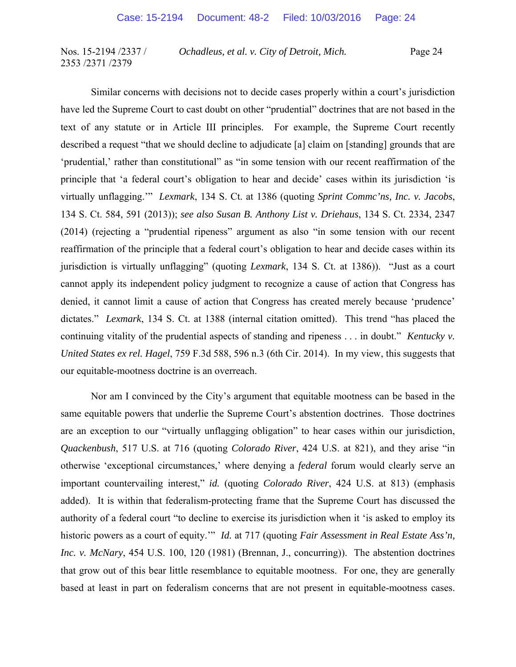Similar concerns with decisions not to decide cases properly within a court's jurisdiction have led the Supreme Court to cast doubt on other "prudential" doctrines that are not based in the text of any statute or in Article III principles. For example, the Supreme Court recently described a request "that we should decline to adjudicate [a] claim on [standing] grounds that are 'prudential,' rather than constitutional" as "in some tension with our recent reaffirmation of the principle that 'a federal court's obligation to hear and decide' cases within its jurisdiction 'is virtually unflagging.'" *Lexmark*, 134 S. Ct. at 1386 (quoting *Sprint Commc'ns, Inc. v. Jacobs*, 134 S. Ct. 584, 591 (2013)); *see also Susan B. Anthony List v. Driehaus*, 134 S. Ct. 2334, 2347 (2014) (rejecting a "prudential ripeness" argument as also "in some tension with our recent reaffirmation of the principle that a federal court's obligation to hear and decide cases within its jurisdiction is virtually unflagging" (quoting *Lexmark*, 134 S. Ct. at 1386)). "Just as a court cannot apply its independent policy judgment to recognize a cause of action that Congress has denied, it cannot limit a cause of action that Congress has created merely because 'prudence' dictates." *Lexmark*, 134 S. Ct. at 1388 (internal citation omitted). This trend "has placed the continuing vitality of the prudential aspects of standing and ripeness . . . in doubt." *Kentucky v. United States ex rel. Hagel*, 759 F.3d 588, 596 n.3 (6th Cir. 2014). In my view, this suggests that our equitable-mootness doctrine is an overreach.

Nor am I convinced by the City's argument that equitable mootness can be based in the same equitable powers that underlie the Supreme Court's abstention doctrines. Those doctrines are an exception to our "virtually unflagging obligation" to hear cases within our jurisdiction, *Quackenbush*, 517 U.S. at 716 (quoting *Colorado River*, 424 U.S. at 821), and they arise "in otherwise 'exceptional circumstances,' where denying a *federal* forum would clearly serve an important countervailing interest," *id.* (quoting *Colorado River*, 424 U.S. at 813) (emphasis added). It is within that federalism-protecting frame that the Supreme Court has discussed the authority of a federal court "to decline to exercise its jurisdiction when it 'is asked to employ its historic powers as a court of equity.'" *Id.* at 717 (quoting *Fair Assessment in Real Estate Ass'n, Inc. v. McNary*, 454 U.S. 100, 120 (1981) (Brennan, J., concurring)). The abstention doctrines that grow out of this bear little resemblance to equitable mootness. For one, they are generally based at least in part on federalism concerns that are not present in equitable-mootness cases.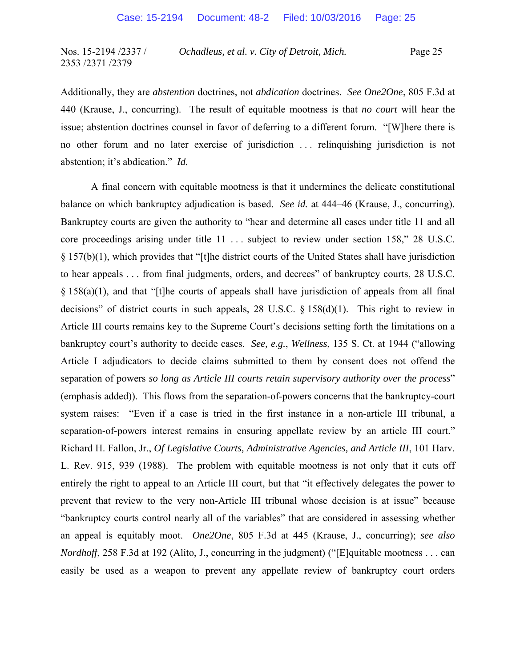Additionally, they are *abstention* doctrines, not *abdication* doctrines. *See One2One*, 805 F.3d at 440 (Krause, J., concurring). The result of equitable mootness is that *no court* will hear the issue; abstention doctrines counsel in favor of deferring to a different forum. "[W]here there is no other forum and no later exercise of jurisdiction . . . relinquishing jurisdiction is not abstention; it's abdication." *Id.*

A final concern with equitable mootness is that it undermines the delicate constitutional balance on which bankruptcy adjudication is based. *See id.* at 444–46 (Krause, J., concurring). Bankruptcy courts are given the authority to "hear and determine all cases under title 11 and all core proceedings arising under title 11 ... subject to review under section 158," 28 U.S.C. § 157(b)(1), which provides that "[t]he district courts of the United States shall have jurisdiction to hear appeals . . . from final judgments, orders, and decrees" of bankruptcy courts, 28 U.S.C.  $§$  158(a)(1), and that "[t]he courts of appeals shall have jurisdiction of appeals from all final decisions" of district courts in such appeals, 28 U.S.C.  $\S$  158(d)(1). This right to review in Article III courts remains key to the Supreme Court's decisions setting forth the limitations on a bankruptcy court's authority to decide cases. *See, e.g.*, *Wellness*, 135 S. Ct. at 1944 ("allowing Article I adjudicators to decide claims submitted to them by consent does not offend the separation of powers *so long as Article III courts retain supervisory authority over the process*" (emphasis added)). This flows from the separation-of-powers concerns that the bankruptcy-court system raises: "Even if a case is tried in the first instance in a non-article III tribunal, a separation-of-powers interest remains in ensuring appellate review by an article III court." Richard H. Fallon, Jr., *Of Legislative Courts, Administrative Agencies, and Article III*, 101 Harv. L. Rev. 915, 939 (1988). The problem with equitable mootness is not only that it cuts off entirely the right to appeal to an Article III court, but that "it effectively delegates the power to prevent that review to the very non-Article III tribunal whose decision is at issue" because "bankruptcy courts control nearly all of the variables" that are considered in assessing whether an appeal is equitably moot. *One2One*, 805 F.3d at 445 (Krause, J., concurring); *see also Nordhoff*, 258 F.3d at 192 (Alito, J., concurring in the judgment) ("[E]quitable mootness . . . can easily be used as a weapon to prevent any appellate review of bankruptcy court orders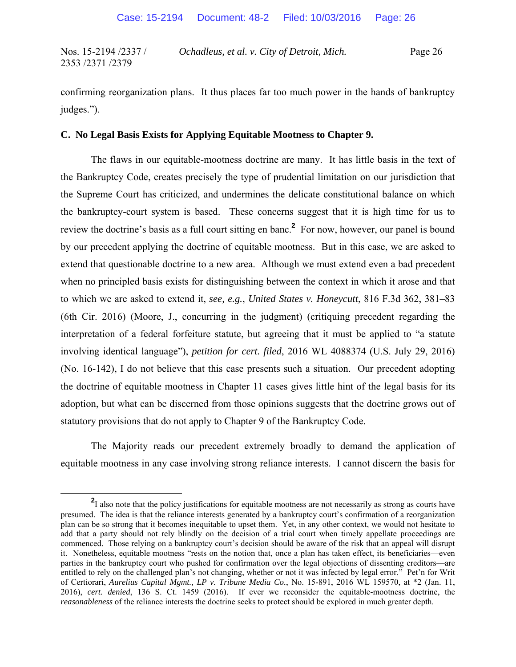confirming reorganization plans. It thus places far too much power in the hands of bankruptcy judges.").

### **C. No Legal Basis Exists for Applying Equitable Mootness to Chapter 9.**

The flaws in our equitable-mootness doctrine are many. It has little basis in the text of the Bankruptcy Code, creates precisely the type of prudential limitation on our jurisdiction that the Supreme Court has criticized, and undermines the delicate constitutional balance on which the bankruptcy-court system is based. These concerns suggest that it is high time for us to review the doctrine's basis as a full court sitting en banc.**<sup>2</sup>** For now, however, our panel is bound by our precedent applying the doctrine of equitable mootness. But in this case, we are asked to extend that questionable doctrine to a new area. Although we must extend even a bad precedent when no principled basis exists for distinguishing between the context in which it arose and that to which we are asked to extend it, *see, e.g.*, *United States v. Honeycutt*, 816 F.3d 362, 381–83 (6th Cir. 2016) (Moore, J., concurring in the judgment) (critiquing precedent regarding the interpretation of a federal forfeiture statute, but agreeing that it must be applied to "a statute involving identical language"), *petition for cert. filed*, 2016 WL 4088374 (U.S. July 29, 2016) (No. 16-142), I do not believe that this case presents such a situation. Our precedent adopting the doctrine of equitable mootness in Chapter 11 cases gives little hint of the legal basis for its adoption, but what can be discerned from those opinions suggests that the doctrine grows out of statutory provisions that do not apply to Chapter 9 of the Bankruptcy Code.

The Majority reads our precedent extremely broadly to demand the application of equitable mootness in any case involving strong reliance interests. I cannot discern the basis for

**<sup>2</sup>** <sup>2</sup>I also note that the policy justifications for equitable mootness are not necessarily as strong as courts have presumed. The idea is that the reliance interests generated by a bankruptcy court's confirmation of a reorganization plan can be so strong that it becomes inequitable to upset them. Yet, in any other context, we would not hesitate to add that a party should not rely blindly on the decision of a trial court when timely appellate proceedings are commenced. Those relying on a bankruptcy court's decision should be aware of the risk that an appeal will disrupt it. Nonetheless, equitable mootness "rests on the notion that, once a plan has taken effect, its beneficiaries—even parties in the bankruptcy court who pushed for confirmation over the legal objections of dissenting creditors—are entitled to rely on the challenged plan's not changing, whether or not it was infected by legal error." Pet'n for Writ of Certiorari, *Aurelius Capital Mgmt., LP v. Tribune Media Co.*, No. 15-891, 2016 WL 159570, at \*2 (Jan. 11, 2016), *cert. denied*, 136 S. Ct. 1459 (2016). If ever we reconsider the equitable-mootness doctrine, the *reasonableness* of the reliance interests the doctrine seeks to protect should be explored in much greater depth.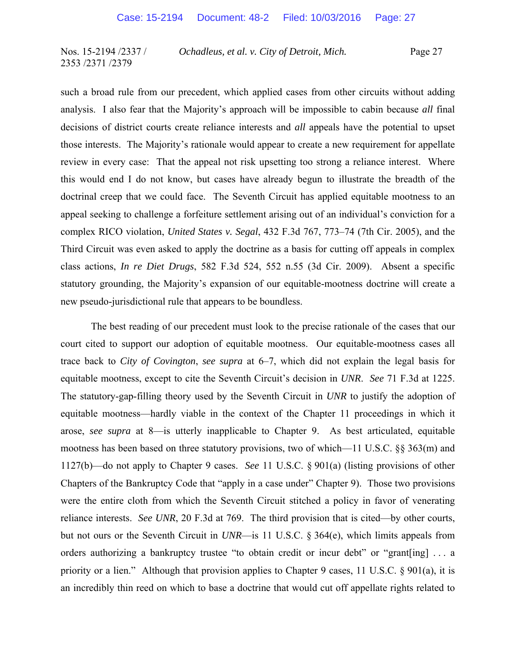such a broad rule from our precedent, which applied cases from other circuits without adding analysis. I also fear that the Majority's approach will be impossible to cabin because *all* final decisions of district courts create reliance interests and *all* appeals have the potential to upset those interests. The Majority's rationale would appear to create a new requirement for appellate review in every case: That the appeal not risk upsetting too strong a reliance interest. Where this would end I do not know, but cases have already begun to illustrate the breadth of the doctrinal creep that we could face. The Seventh Circuit has applied equitable mootness to an appeal seeking to challenge a forfeiture settlement arising out of an individual's conviction for a complex RICO violation, *United States v. Segal*, 432 F.3d 767, 773–74 (7th Cir. 2005), and the Third Circuit was even asked to apply the doctrine as a basis for cutting off appeals in complex class actions, *In re Diet Drugs*, 582 F.3d 524, 552 n.55 (3d Cir. 2009). Absent a specific statutory grounding, the Majority's expansion of our equitable-mootness doctrine will create a new pseudo-jurisdictional rule that appears to be boundless.

The best reading of our precedent must look to the precise rationale of the cases that our court cited to support our adoption of equitable mootness. Our equitable-mootness cases all trace back to *City of Covington*, *see supra* at 6–7, which did not explain the legal basis for equitable mootness, except to cite the Seventh Circuit's decision in *UNR*. *See* 71 F.3d at 1225. The statutory-gap-filling theory used by the Seventh Circuit in *UNR* to justify the adoption of equitable mootness—hardly viable in the context of the Chapter 11 proceedings in which it arose, *see supra* at 8—is utterly inapplicable to Chapter 9. As best articulated, equitable mootness has been based on three statutory provisions, two of which—11 U.S.C. §§ 363(m) and 1127(b)—do not apply to Chapter 9 cases. *See* 11 U.S.C. § 901(a) (listing provisions of other Chapters of the Bankruptcy Code that "apply in a case under" Chapter 9). Those two provisions were the entire cloth from which the Seventh Circuit stitched a policy in favor of venerating reliance interests. *See UNR*, 20 F.3d at 769. The third provision that is cited—by other courts, but not ours or the Seventh Circuit in *UNR*—is 11 U.S.C. § 364(e), which limits appeals from orders authorizing a bankruptcy trustee "to obtain credit or incur debt" or "grant[ing] . . . a priority or a lien." Although that provision applies to Chapter 9 cases, 11 U.S.C. § 901(a), it is an incredibly thin reed on which to base a doctrine that would cut off appellate rights related to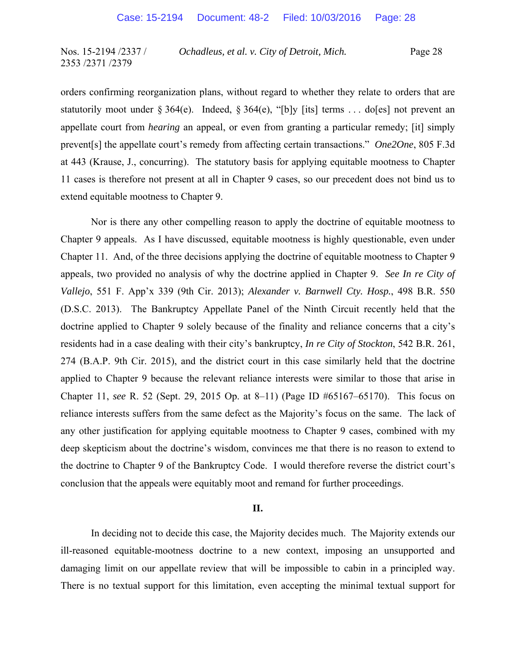orders confirming reorganization plans, without regard to whether they relate to orders that are statutorily moot under § 364(e). Indeed, § 364(e), "[b]y [its] terms ... do[es] not prevent an appellate court from *hearing* an appeal, or even from granting a particular remedy; [it] simply prevent[s] the appellate court's remedy from affecting certain transactions." *One2One*, 805 F.3d at 443 (Krause, J., concurring). The statutory basis for applying equitable mootness to Chapter 11 cases is therefore not present at all in Chapter 9 cases, so our precedent does not bind us to extend equitable mootness to Chapter 9.

Nor is there any other compelling reason to apply the doctrine of equitable mootness to Chapter 9 appeals. As I have discussed, equitable mootness is highly questionable, even under Chapter 11. And, of the three decisions applying the doctrine of equitable mootness to Chapter 9 appeals, two provided no analysis of why the doctrine applied in Chapter 9. *See In re City of Vallejo*, 551 F. App'x 339 (9th Cir. 2013); *Alexander v. Barnwell Cty. Hosp.*, 498 B.R. 550 (D.S.C. 2013). The Bankruptcy Appellate Panel of the Ninth Circuit recently held that the doctrine applied to Chapter 9 solely because of the finality and reliance concerns that a city's residents had in a case dealing with their city's bankruptcy, *In re City of Stockton*, 542 B.R. 261, 274 (B.A.P. 9th Cir. 2015), and the district court in this case similarly held that the doctrine applied to Chapter 9 because the relevant reliance interests were similar to those that arise in Chapter 11, *see* R. 52 (Sept. 29, 2015 Op. at 8–11) (Page ID #65167–65170). This focus on reliance interests suffers from the same defect as the Majority's focus on the same. The lack of any other justification for applying equitable mootness to Chapter 9 cases, combined with my deep skepticism about the doctrine's wisdom, convinces me that there is no reason to extend to the doctrine to Chapter 9 of the Bankruptcy Code. I would therefore reverse the district court's conclusion that the appeals were equitably moot and remand for further proceedings.

#### **II.**

In deciding not to decide this case, the Majority decides much. The Majority extends our ill-reasoned equitable-mootness doctrine to a new context, imposing an unsupported and damaging limit on our appellate review that will be impossible to cabin in a principled way. There is no textual support for this limitation, even accepting the minimal textual support for